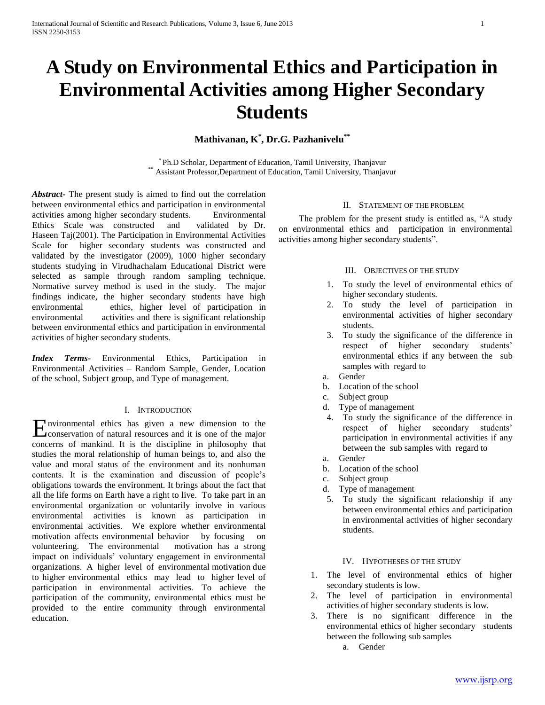# **A Study on Environmental Ethics and Participation in Environmental Activities among Higher Secondary Students**

## **Mathivanan, K\* , Dr.G. Pazhanivelu\*\***

\* Ph.D Scholar, Department of Education, Tamil University, Thanjavur \*\* Assistant Professor,Department of Education, Tamil University, Thanjavur

*Abstract***-** The present study is aimed to find out the correlation between environmental ethics and participation in environmental activities among higher secondary students.Environmental Ethics Scale was constructed and validated by Dr. Haseen Taj(2001). The Participation in Environmental Activities Scale for higher secondary students was constructed and validated by the investigator (2009), 1000 higher secondary students studying in Virudhachalam Educational District were selected as sample through random sampling technique. Normative survey method is used in the study. The major findings indicate, the higher secondary students have high ethics, higher level of participation in environmental activities and there is significant relationship between environmental ethics and participation in environmental activities of higher secondary students.

*Index Terms*- Environmental Ethics, Participation in Environmental Activities – Random Sample, Gender, Location of the school, Subject group, and Type of management.

#### I. INTRODUCTION

nvironmental ethics has given a new dimension to the Environmental ethics has given a new dimension to the conservation of natural resources and it is one of the major concerns of mankind. It is the discipline in philosophy that studies the moral relationship of human beings to, and also the value and moral status of the environment and its nonhuman contents. It is the examination and discussion of people's obligations towards the environment. It brings about the fact that all the life forms on Earth have a right to live. To take part in an environmental organization or voluntarily involve in various environmental activities is known as participation in environmental activities. We explore whether environmental motivation affects environmental behavior by focusing on volunteering. The environmental motivation has a strong impact on individuals' voluntary engagement in environmental organizations. A higher level of environmental motivation due to higher environmental ethics may lead to higher level of participation in environmental activities. To achieve the participation of the community, environmental ethics must be provided to the entire community through environmental education.

## II. STATEMENT OF THE PROBLEM

 The problem for the present study is entitled as, "A study on environmental ethics and participation in environmental activities among higher secondary students".

#### III. OBJECTIVES OF THE STUDY

- 1. To study the level of environmental ethics of higher secondary students.
- 2. To study the level of participation in environmental activities of higher secondary students.
- 3. To study the significance of the difference in respect of higher secondary students' environmental ethics if any between the sub samples with regard to
- a. Gender
- b. Location of the school
- c. Subject group
- d. Type of management
- 4. To study the significance of the difference in respect of higher secondary students' participation in environmental activities if any between the sub samples with regard to
- a. Gender
- b. Location of the school
- c. Subject group
- d. Type of management
- 5. To study the significant relationship if any between environmental ethics and participation in environmental activities of higher secondary students.

## IV. HYPOTHESES OF THE STUDY

- 1. The level of environmental ethics of higher secondary students is low.
- 2. The level of participation in environmental activities of higher secondary students is low.
- 3. There is no significant difference in the environmental ethics of higher secondary students between the following sub samples
	- a. Gender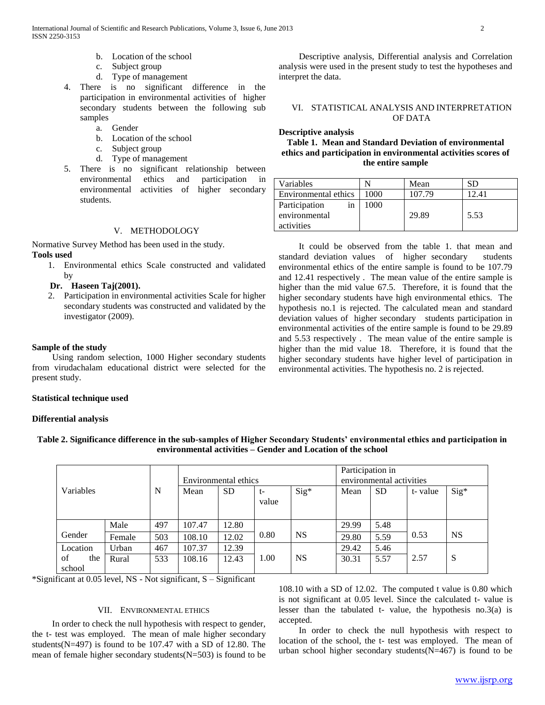- b. Location of the school
- c. Subject group
- d. Type of management
- 4. There is no significant difference in the participation in environmental activities of higher secondary students between the following sub samples
	- a. Gender
	- b. Location of the school
	- c. Subject group
	- d. Type of management
- 5. There is no significant relationship between environmental ethics and participation in environmental activities of higher secondary students.

## V. METHODOLOGY

Normative Survey Method has been used in the study. **Tools used**

1. Environmental ethics Scale constructed and validated by

**Dr. Haseen Taj(2001).**

2. Participation in environmental activities Scale for higher secondary students was constructed and validated by the investigator (2009).

#### **Sample of the study**

 Using random selection, 1000 Higher secondary students from virudachalam educational district were selected for the present study.

#### **Statistical technique used**

#### **Differential analysis**

 Descriptive analysis, Differential analysis and Correlation analysis were used in the present study to test the hypotheses and interpret the data.

#### VI. STATISTICAL ANALYSIS AND INTERPRETATION OF DATA

## **Descriptive analysis Table 1. Mean and Standard Deviation of environmental ethics and participation in environmental activities scores of the entire sample**

Variables N Mean SD Environmental ethics | 1000 | 107.79 | 12.41 Participation in 1000

29.89 5.53

 It could be observed from the table 1. that mean and standard deviation values of higher secondary students environmental ethics of the entire sample is found to be 107.79 and 12.41 respectively . The mean value of the entire sample is higher than the mid value 67.5. Therefore, it is found that the higher secondary students have high environmental ethics. The hypothesis no.1 is rejected. The calculated mean and standard deviation values of higher secondary students participation in environmental activities of the entire sample is found to be 29.89 and 5.53 respectively . The mean value of the entire sample is higher than the mid value 18. Therefore, it is found that the higher secondary students have higher level of participation in environmental activities. The hypothesis no. 2 is rejected.

|                     |        |             | Environmental ethics |           |               | Participation in<br>environmental activities |       |           |         |           |
|---------------------|--------|-------------|----------------------|-----------|---------------|----------------------------------------------|-------|-----------|---------|-----------|
| Variables           |        | $\mathbf N$ | Mean                 | <b>SD</b> | $t-$<br>value | $Sig^*$                                      | Mean  | <b>SD</b> | t-value | $Sig^*$   |
|                     | Male   | 497         | 107.47               | 12.80     |               |                                              | 29.99 | 5.48      |         |           |
| Gender              | Female | 503         | 108.10               | 12.02     | 0.80          | <b>NS</b>                                    | 29.80 | 5.59      | 0.53    | <b>NS</b> |
| Location            | Urban  | 467         | 107.37               | 12.39     |               |                                              | 29.42 | 5.46      |         |           |
| of<br>the<br>school | Rural  | 533         | 108.16               | 12.43     | 1.00          | <b>NS</b>                                    | 30.31 | 5.57      | 2.57    | S         |

**Table 2. Significance difference in the sub-samples of Higher Secondary Students' environmental ethics and participation in environmental activities – Gender and Location of the school**

environmental activities

\*Significant at 0.05 level, NS - Not significant, S – Significant

#### VII. ENVIRONMENTAL ETHICS

 In order to check the null hypothesis with respect to gender, the t- test was employed. The mean of male higher secondary students(N=497) is found to be 107.47 with a SD of 12.80. The mean of female higher secondary students(N=503) is found to be

108.10 with a SD of 12.02. The computed t value is 0.80 which is not significant at 0.05 level. Since the calculated t- value is lesser than the tabulated t- value, the hypothesis no.3(a) is accepted.

 In order to check the null hypothesis with respect to location of the school, the t- test was employed. The mean of urban school higher secondary students(N=467) is found to be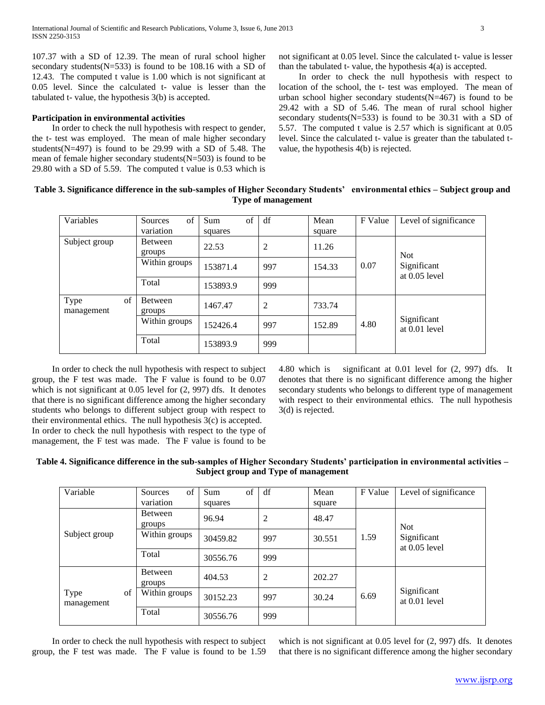107.37 with a SD of 12.39. The mean of rural school higher secondary students(N=533) is found to be 108.16 with a SD of 12.43. The computed t value is 1.00 which is not significant at 0.05 level. Since the calculated t- value is lesser than the tabulated t- value, the hypothesis 3(b) is accepted.

#### **Participation in environmental activities**

 In order to check the null hypothesis with respect to gender, the t- test was employed. The mean of male higher secondary students(N=497) is found to be 29.99 with a SD of 5.48. The mean of female higher secondary students( $N=503$ ) is found to be 29.80 with a SD of 5.59. The computed t value is 0.53 which is

not significant at 0.05 level. Since the calculated t- value is lesser than the tabulated t- value, the hypothesis 4(a) is accepted.

 In order to check the null hypothesis with respect to location of the school, the t- test was employed. The mean of urban school higher secondary students(N=467) is found to be 29.42 with a SD of 5.46. The mean of rural school higher secondary students(N=533) is found to be 30.31 with a SD of 5.57. The computed t value is 2.57 which is significant at 0.05 level. Since the calculated t- value is greater than the tabulated tvalue, the hypothesis 4(b) is rejected.

| Table 3. Significance difference in the sub-samples of Higher Secondary Students' environmental ethics - Subject group and |  |
|----------------------------------------------------------------------------------------------------------------------------|--|
| Type of management                                                                                                         |  |

| Variables                | of<br>Sources<br>variation | Sum<br>of<br>squares | df             | Mean<br>square | F Value | Level of significance          |
|--------------------------|----------------------------|----------------------|----------------|----------------|---------|--------------------------------|
| Subject group            | Between<br>groups          | 22.53                | $\overline{2}$ | 11.26          |         | <b>Not</b>                     |
|                          | Within groups              | 153871.4             | 997            | 154.33         | 0.07    | Significant<br>at $0.05$ level |
|                          | Total                      | 153893.9             | 999            |                |         |                                |
| of<br>Type<br>management | Between<br>groups          | 1467.47              | $\overline{2}$ | 733.74         |         |                                |
|                          | Within groups              | 152426.4             | 997            | 152.89         | 4.80    | Significant<br>at $0.01$ level |
|                          | Total                      | 153893.9             | 999            |                |         |                                |

 In order to check the null hypothesis with respect to subject group, the F test was made. The F value is found to be 0.07 which is not significant at 0.05 level for  $(2, 997)$  dfs. It denotes that there is no significant difference among the higher secondary students who belongs to different subject group with respect to their environmental ethics. The null hypothesis 3(c) is accepted. In order to check the null hypothesis with respect to the type of management, the F test was made. The F value is found to be 4.80 which is significant at 0.01 level for (2, 997) dfs. It denotes that there is no significant difference among the higher secondary students who belongs to different type of management with respect to their environmental ethics. The null hypothesis 3(d) is rejected.

**Table 4. Significance difference in the sub-samples of Higher Secondary Students' participation in environmental activities – Subject group and Type of management**

| Variable                 | of<br>Sources<br>variation | of<br>Sum<br>squares | df             | Mean<br>square | F Value | Level of significance          |  |
|--------------------------|----------------------------|----------------------|----------------|----------------|---------|--------------------------------|--|
|                          | <b>Between</b><br>groups   | 96.94                | $\overline{2}$ | 48.47          |         | <b>Not</b>                     |  |
| Subject group            | Within groups              | 30459.82             | 997            | 30.551         | 1.59    | Significant<br>at $0.05$ level |  |
|                          | Total                      | 30556.76             | 999            |                |         |                                |  |
|                          | Between<br>groups          | 404.53               | 2              | 202.27         |         |                                |  |
| Type<br>of<br>management | Within groups              | 30152.23             | 997            | 30.24          | 6.69    | Significant<br>at $0.01$ level |  |
|                          | Total                      | 30556.76             | 999            |                |         |                                |  |

 In order to check the null hypothesis with respect to subject group, the F test was made. The F value is found to be 1.59

which is not significant at 0.05 level for (2, 997) dfs. It denotes that there is no significant difference among the higher secondary